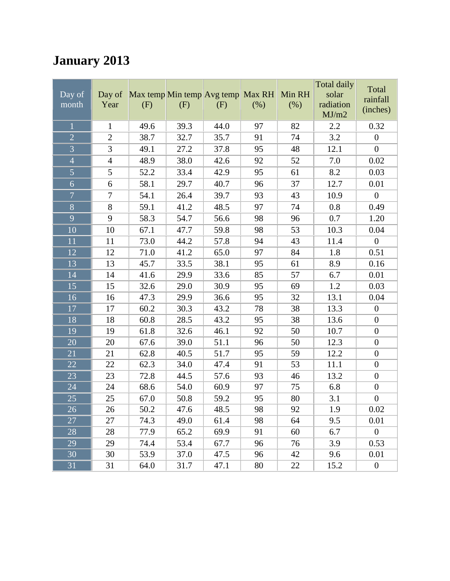## **January 2013**

|                 |                |      |                                   |      |      |        | Total daily | Total            |
|-----------------|----------------|------|-----------------------------------|------|------|--------|-------------|------------------|
| Day of          | Day of         |      | Max temp Min temp Avg temp Max RH |      |      | Min RH | solar       | rainfall         |
| month           | Year           | (F)  | (F)                               | (F)  | (% ) | (% )   | radiation   | (inches)         |
|                 |                |      |                                   |      |      |        | MJ/m2       |                  |
| $\mathbf{1}$    | $\mathbf{1}$   | 49.6 | 39.3                              | 44.0 | 97   | 82     | 2.2         | 0.32             |
| $\overline{2}$  | $\overline{2}$ | 38.7 | 32.7                              | 35.7 | 91   | 74     | 3.2         | $\boldsymbol{0}$ |
| $\overline{3}$  | 3              | 49.1 | 27.2                              | 37.8 | 95   | 48     | 12.1        | $\boldsymbol{0}$ |
| $\overline{4}$  | $\overline{4}$ | 48.9 | 38.0                              | 42.6 | 92   | 52     | 7.0         | 0.02             |
| $\overline{5}$  | 5              | 52.2 | 33.4                              | 42.9 | 95   | 61     | 8.2         | 0.03             |
| $\overline{6}$  | 6              | 58.1 | 29.7                              | 40.7 | 96   | 37     | 12.7        | 0.01             |
| $\overline{7}$  | $\tau$         | 54.1 | 26.4                              | 39.7 | 93   | 43     | 10.9        | $\boldsymbol{0}$ |
| $\overline{8}$  | 8              | 59.1 | 41.2                              | 48.5 | 97   | 74     | 0.8         | 0.49             |
| $\overline{9}$  | 9              | 58.3 | 54.7                              | 56.6 | 98   | 96     | 0.7         | 1.20             |
| 10              | 10             | 67.1 | 47.7                              | 59.8 | 98   | 53     | 10.3        | 0.04             |
| 11              | 11             | 73.0 | 44.2                              | 57.8 | 94   | 43     | 11.4        | $\boldsymbol{0}$ |
| 12              | 12             | 71.0 | 41.2                              | 65.0 | 97   | 84     | 1.8         | 0.51             |
| 13              | 13             | 45.7 | 33.5                              | 38.1 | 95   | 61     | 8.9         | 0.16             |
| 14              | 14             | 41.6 | 29.9                              | 33.6 | 85   | 57     | 6.7         | 0.01             |
| 15              | 15             | 32.6 | 29.0                              | 30.9 | 95   | 69     | 1.2         | 0.03             |
| 16              | 16             | 47.3 | 29.9                              | 36.6 | 95   | 32     | 13.1        | 0.04             |
| 17              | 17             | 60.2 | 30.3                              | 43.2 | 78   | 38     | 13.3        | $\boldsymbol{0}$ |
| 18              | 18             | 60.8 | 28.5                              | 43.2 | 95   | 38     | 13.6        | $\boldsymbol{0}$ |
| 19              | 19             | 61.8 | 32.6                              | 46.1 | 92   | 50     | 10.7        | $\boldsymbol{0}$ |
| 20              | 20             | 67.6 | 39.0                              | 51.1 | 96   | 50     | 12.3        | $\boldsymbol{0}$ |
| 21              | 21             | 62.8 | 40.5                              | 51.7 | 95   | 59     | 12.2        | $\boldsymbol{0}$ |
| 22              | 22             | 62.3 | 34.0                              | 47.4 | 91   | 53     | 11.1        | $\boldsymbol{0}$ |
| 23              | 23             | 72.8 | 44.5                              | 57.6 | 93   | 46     | 13.2        | $\boldsymbol{0}$ |
| 24              | 24             | 68.6 | 54.0                              | 60.9 | 97   | 75     | 6.8         | $\boldsymbol{0}$ |
| 25              | 25             | 67.0 | 50.8                              | 59.2 | 95   | 80     | 3.1         | $\boldsymbol{0}$ |
| $\overline{26}$ | 26             | 50.2 | 47.6                              | 48.5 | 98   | 92     | 1.9         | 0.02             |
| 27              | 27             | 74.3 | 49.0                              | 61.4 | 98   | 64     | 9.5         | 0.01             |
| 28              | 28             | 77.9 | 65.2                              | 69.9 | 91   | 60     | 6.7         | $\overline{0}$   |
| 29              | 29             | 74.4 | 53.4                              | 67.7 | 96   | 76     | 3.9         | 0.53             |
| 30              | 30             | 53.9 | 37.0                              | 47.5 | 96   | 42     | 9.6         | 0.01             |
| 31              | 31             | 64.0 | 31.7                              | 47.1 | 80   | 22     | 15.2        | $\boldsymbol{0}$ |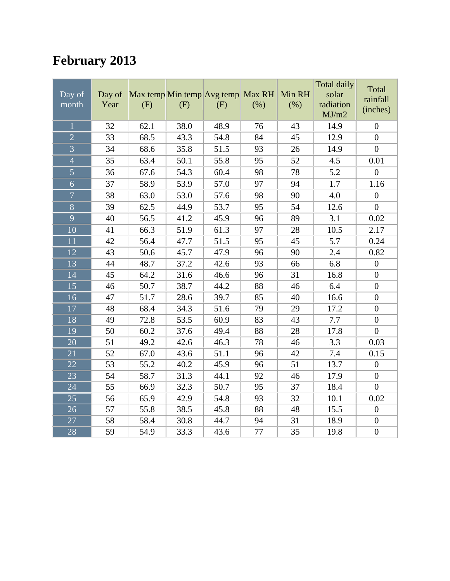## **February 2013**

| Day of<br>month | Day of<br>Year | Max temp Min temp Avg temp<br>(F) | (F)  | (F)  | Max RH<br>(% ) | Min RH<br>(% ) | <b>Total daily</b><br>solar<br>radiation<br>MJ/m2 | Total<br>rainfall<br>(inches) |
|-----------------|----------------|-----------------------------------|------|------|----------------|----------------|---------------------------------------------------|-------------------------------|
| $\overline{1}$  | 32             | 62.1                              | 38.0 | 48.9 | 76             | 43             | 14.9                                              | $\overline{0}$                |
| $\overline{2}$  | 33             | 68.5                              | 43.3 | 54.8 | 84             | 45             | 12.9                                              | $\boldsymbol{0}$              |
| $\overline{3}$  | 34             | 68.6                              | 35.8 | 51.5 | 93             | 26             | 14.9                                              | $\overline{0}$                |
| $\overline{4}$  | 35             | 63.4                              | 50.1 | 55.8 | 95             | 52             | 4.5                                               | 0.01                          |
| $\overline{5}$  | 36             | 67.6                              | 54.3 | 60.4 | 98             | 78             | 5.2                                               | $\overline{0}$                |
| $\overline{6}$  | 37             | 58.9                              | 53.9 | 57.0 | 97             | 94             | 1.7                                               | 1.16                          |
| $\overline{7}$  | 38             | 63.0                              | 53.0 | 57.6 | 98             | 90             | 4.0                                               | $\boldsymbol{0}$              |
| $\overline{8}$  | 39             | 62.5                              | 44.9 | 53.7 | 95             | 54             | 12.6                                              | $\overline{0}$                |
| $\overline{9}$  | 40             | 56.5                              | 41.2 | 45.9 | 96             | 89             | 3.1                                               | 0.02                          |
| 10              | 41             | 66.3                              | 51.9 | 61.3 | 97             | 28             | 10.5                                              | 2.17                          |
| $\overline{11}$ | 42             | 56.4                              | 47.7 | 51.5 | 95             | 45             | $\overline{5.7}$                                  | 0.24                          |
| 12              | 43             | 50.6                              | 45.7 | 47.9 | 96             | 90             | 2.4                                               | 0.82                          |
| 13              | 44             | 48.7                              | 37.2 | 42.6 | 93             | 66             | 6.8                                               | $\boldsymbol{0}$              |
| 14              | 45             | 64.2                              | 31.6 | 46.6 | 96             | 31             | 16.8                                              | $\boldsymbol{0}$              |
| 15              | 46             | 50.7                              | 38.7 | 44.2 | 88             | 46             | 6.4                                               | $\boldsymbol{0}$              |
| 16              | 47             | 51.7                              | 28.6 | 39.7 | 85             | 40             | 16.6                                              | $\boldsymbol{0}$              |
| 17              | 48             | 68.4                              | 34.3 | 51.6 | 79             | 29             | 17.2                                              | $\boldsymbol{0}$              |
| 18              | 49             | 72.8                              | 53.5 | 60.9 | 83             | 43             | 7.7                                               | $\boldsymbol{0}$              |
| 19              | 50             | 60.2                              | 37.6 | 49.4 | 88             | 28             | 17.8                                              | $\overline{0}$                |
| 20              | 51             | 49.2                              | 42.6 | 46.3 | 78             | 46             | 3.3                                               | 0.03                          |
| 21              | 52             | 67.0                              | 43.6 | 51.1 | 96             | 42             | 7.4                                               | 0.15                          |
| 22              | 53             | 55.2                              | 40.2 | 45.9 | 96             | 51             | 13.7                                              | $\boldsymbol{0}$              |
| 23              | 54             | 58.7                              | 31.3 | 44.1 | 92             | 46             | 17.9                                              | $\boldsymbol{0}$              |
| 24              | 55             | 66.9                              | 32.3 | 50.7 | 95             | 37             | 18.4                                              | $\overline{0}$                |
| 25              | 56             | 65.9                              | 42.9 | 54.8 | 93             | 32             | 10.1                                              | 0.02                          |
| 26              | 57             | 55.8                              | 38.5 | 45.8 | 88             | 48             | 15.5                                              | $\boldsymbol{0}$              |
| 27              | 58             | 58.4                              | 30.8 | 44.7 | 94             | 31             | 18.9                                              | $\boldsymbol{0}$              |
| 28              | 59             | 54.9                              | 33.3 | 43.6 | 77             | 35             | 19.8                                              | $\boldsymbol{0}$              |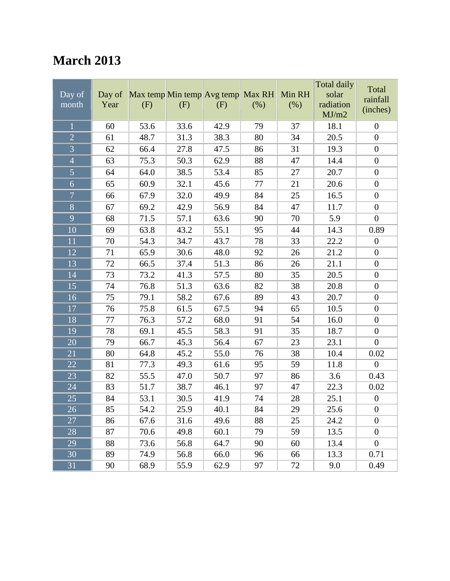#### **March 2013**

| Day of<br>month | Day of<br>Year | Max temp Min temp Avg temp Max RH<br>(F) | (F)  | (F)  | (% ) | Min RH<br>(% ) | <b>Total daily</b><br>solar<br>radiation<br>MJ/m2 | Total<br>rainfall<br>(inches) |
|-----------------|----------------|------------------------------------------|------|------|------|----------------|---------------------------------------------------|-------------------------------|
| $\mathbf{1}$    | 60             | 53.6                                     | 33.6 | 42.9 | 79   | 37             | 18.1                                              | $\boldsymbol{0}$              |
| $\overline{2}$  | 61             | 48.7                                     | 31.3 | 38.3 | 80   | 34             | 20.5                                              | $\boldsymbol{0}$              |
| $\overline{3}$  | 62             | 66.4                                     | 27.8 | 47.5 | 86   | 31             | 19.3                                              | $\boldsymbol{0}$              |
| $\overline{4}$  | 63             | 75.3                                     | 50.3 | 62.9 | 88   | 47             | 14.4                                              | $\boldsymbol{0}$              |
| 5               | 64             | 64.0                                     | 38.5 | 53.4 | 85   | 27             | 20.7                                              | $\boldsymbol{0}$              |
| 6               | 65             | 60.9                                     | 32.1 | 45.6 | 77   | 21             | 20.6                                              | $\boldsymbol{0}$              |
| $\overline{7}$  | 66             | 67.9                                     | 32.0 | 49.9 | 84   | 25             | 16.5                                              | $\boldsymbol{0}$              |
| $\overline{8}$  | 67             | 69.2                                     | 42.9 | 56.9 | 84   | 47             | 11.7                                              | $\boldsymbol{0}$              |
| 9               | 68             | 71.5                                     | 57.1 | 63.6 | 90   | 70             | 5.9                                               | $\boldsymbol{0}$              |
| 10              | 69             | 63.8                                     | 43.2 | 55.1 | 95   | 44             | 14.3                                              | 0.89                          |
| 11              | 70             | 54.3                                     | 34.7 | 43.7 | 78   | 33             | 22.2                                              | $\boldsymbol{0}$              |
| 12              | 71             | 65.9                                     | 30.6 | 48.0 | 92   | 26             | 21.2                                              | $\boldsymbol{0}$              |
| 13              | 72             | 66.5                                     | 37.4 | 51.3 | 86   | 26             | 21.1                                              | $\boldsymbol{0}$              |
| 14              | 73             | 73.2                                     | 41.3 | 57.5 | 80   | 35             | 20.5                                              | $\boldsymbol{0}$              |
| 15              | 74             | 76.8                                     | 51.3 | 63.6 | 82   | 38             | 20.8                                              | $\boldsymbol{0}$              |
| 16              | 75             | 79.1                                     | 58.2 | 67.6 | 89   | 43             | 20.7                                              | $\boldsymbol{0}$              |
| 17              | 76             | 75.8                                     | 61.5 | 67.5 | 94   | 65             | 10.5                                              | $\boldsymbol{0}$              |
| 18              | 77             | 76.3                                     | 57.2 | 68.0 | 91   | 54             | 16.0                                              | $\boldsymbol{0}$              |
| 19              | 78             | 69.1                                     | 45.5 | 58.3 | 91   | 35             | 18.7                                              | $\boldsymbol{0}$              |
| 20              | 79             | 66.7                                     | 45.3 | 56.4 | 67   | 23             | 23.1                                              | $\boldsymbol{0}$              |
| 21              | 80             | 64.8                                     | 45.2 | 55.0 | 76   | 38             | 10.4                                              | 0.02                          |
| 22              | 81             | 77.3                                     | 49.3 | 61.6 | 95   | 59             | 11.8                                              | $\boldsymbol{0}$              |
| 23              | 82             | 55.5                                     | 47.0 | 50.7 | 97   | 86             | 3.6                                               | 0.43                          |
| 24              | 83             | 51.7                                     | 38.7 | 46.1 | 97   | 47             | 22.3                                              | 0.02                          |
| 25              | 84             | 53.1                                     | 30.5 | 41.9 | 74   | 28             | 25.1                                              | $\boldsymbol{0}$              |
| $\overline{26}$ | 85             | 54.2                                     | 25.9 | 40.1 | 84   | 29             | 25.6                                              | $\boldsymbol{0}$              |
| 27              | 86             | 67.6                                     | 31.6 | 49.6 | 88   | 25             | 24.2                                              | $\boldsymbol{0}$              |
| 28              | 87             | 70.6                                     | 49.8 | 60.1 | 79   | 59             | 13.5                                              | $\boldsymbol{0}$              |
| 29              | 88             | 73.6                                     | 56.8 | 64.7 | 90   | 60             | 13.4                                              | $\boldsymbol{0}$              |
| 30              | 89             | 74.9                                     | 56.8 | 66.0 | 96   | 66             | 13.3                                              | 0.71                          |
| 31              | 90             | 68.9                                     | 55.9 | 62.9 | 97   | 72             | 9.0                                               | 0.49                          |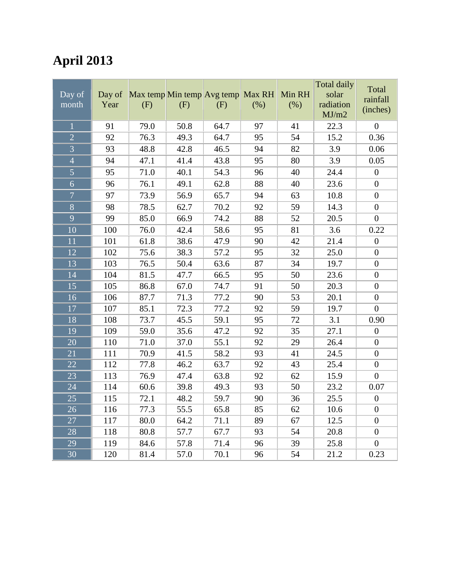## **April 2013**

| Day of<br>month | Day of<br>Year | (F)  | (F)  | Max temp Min temp Avg temp<br>(F) | Max RH<br>(%) | Min RH<br>(% ) | <b>Total daily</b><br>solar<br>radiation<br>MJ/m2 | Total<br>rainfall<br>(inches) |
|-----------------|----------------|------|------|-----------------------------------|---------------|----------------|---------------------------------------------------|-------------------------------|
| $\overline{1}$  | 91             | 79.0 | 50.8 | 64.7                              | 97            | 41             | 22.3                                              | $\overline{0}$                |
| $\overline{2}$  | 92             | 76.3 | 49.3 | 64.7                              | 95            | 54             | 15.2                                              | 0.36                          |
| $\overline{3}$  | 93             | 48.8 | 42.8 | 46.5                              | 94            | 82             | 3.9                                               | 0.06                          |
| $\overline{4}$  | 94             | 47.1 | 41.4 | 43.8                              | 95            | 80             | 3.9                                               | 0.05                          |
| $\overline{5}$  | 95             | 71.0 | 40.1 | 54.3                              | 96            | 40             | 24.4                                              | $\boldsymbol{0}$              |
| $\overline{6}$  | 96             | 76.1 | 49.1 | 62.8                              | 88            | 40             | 23.6                                              | $\overline{0}$                |
| $\overline{7}$  | 97             | 73.9 | 56.9 | 65.7                              | 94            | 63             | 10.8                                              | $\boldsymbol{0}$              |
| $\overline{8}$  | 98             | 78.5 | 62.7 | 70.2                              | 92            | 59             | 14.3                                              | $\boldsymbol{0}$              |
| $\overline{9}$  | 99             | 85.0 | 66.9 | 74.2                              | 88            | 52             | 20.5                                              | $\overline{0}$                |
| $\overline{10}$ | 100            | 76.0 | 42.4 | 58.6                              | 95            | 81             | 3.6                                               | 0.22                          |
| 11              | 101            | 61.8 | 38.6 | 47.9                              | 90            | 42             | 21.4                                              | $\boldsymbol{0}$              |
| 12              | 102            | 75.6 | 38.3 | 57.2                              | 95            | 32             | 25.0                                              | $\boldsymbol{0}$              |
| 13              | 103            | 76.5 | 50.4 | 63.6                              | 87            | 34             | 19.7                                              | $\boldsymbol{0}$              |
| 14              | 104            | 81.5 | 47.7 | 66.5                              | 95            | 50             | 23.6                                              | $\boldsymbol{0}$              |
| 15              | 105            | 86.8 | 67.0 | 74.7                              | 91            | 50             | 20.3                                              | $\overline{0}$                |
| 16              | 106            | 87.7 | 71.3 | 77.2                              | 90            | 53             | 20.1                                              | $\boldsymbol{0}$              |
| 17              | 107            | 85.1 | 72.3 | 77.2                              | 92            | 59             | 19.7                                              | $\boldsymbol{0}$              |
| 18              | 108            | 73.7 | 45.5 | 59.1                              | 95            | 72             | 3.1                                               | 0.90                          |
| 19              | 109            | 59.0 | 35.6 | 47.2                              | 92            | 35             | 27.1                                              | $\boldsymbol{0}$              |
| 20              | 110            | 71.0 | 37.0 | 55.1                              | 92            | 29             | 26.4                                              | $\boldsymbol{0}$              |
| 21              | 111            | 70.9 | 41.5 | 58.2                              | 93            | 41             | 24.5                                              | $\boldsymbol{0}$              |
| 22              | 112            | 77.8 | 46.2 | 63.7                              | 92            | 43             | 25.4                                              | $\boldsymbol{0}$              |
| 23              | 113            | 76.9 | 47.4 | 63.8                              | 92            | 62             | 15.9                                              | $\boldsymbol{0}$              |
| 24              | 114            | 60.6 | 39.8 | 49.3                              | 93            | 50             | 23.2                                              | 0.07                          |
| 25              | 115            | 72.1 | 48.2 | 59.7                              | 90            | 36             | 25.5                                              | $\overline{0}$                |
| 26              | 116            | 77.3 | 55.5 | 65.8                              | 85            | 62             | 10.6                                              | $\overline{0}$                |
| 27              | 117            | 80.0 | 64.2 | 71.1                              | 89            | 67             | 12.5                                              | $\boldsymbol{0}$              |
| 28              | 118            | 80.8 | 57.7 | 67.7                              | 93            | 54             | 20.8                                              | $\boldsymbol{0}$              |
| 29              | 119            | 84.6 | 57.8 | 71.4                              | 96            | 39             | 25.8                                              | $\boldsymbol{0}$              |
| 30              | 120            | 81.4 | 57.0 | 70.1                              | 96            | 54             | 21.2                                              | 0.23                          |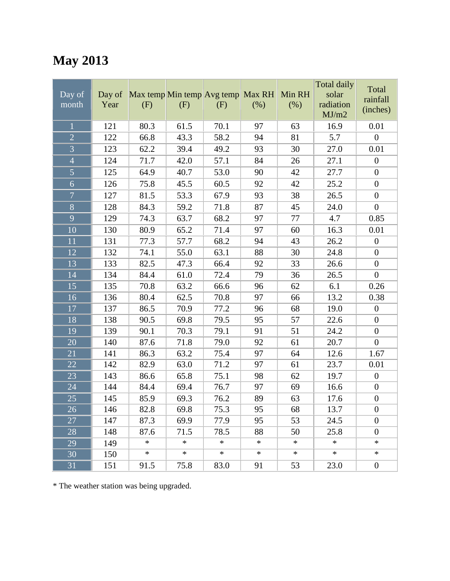## **May 2013**

| Day of<br>month | Day of<br>Year | Max temp Min temp Avg temp Max RH<br>(F) | (F)    | (F)    | $(\%)$ | Min RH<br>(% ) | Total daily<br>solar<br>radiation<br>MJ/m2 | Total<br>rainfall<br>(inches) |
|-----------------|----------------|------------------------------------------|--------|--------|--------|----------------|--------------------------------------------|-------------------------------|
| $\mathbf{1}$    | 121            | 80.3                                     | 61.5   | 70.1   | 97     | 63             | 16.9                                       | 0.01                          |
| $\overline{2}$  | 122            | 66.8                                     | 43.3   | 58.2   | 94     | 81             | 5.7                                        | $\overline{0}$                |
| $\overline{3}$  | 123            | 62.2                                     | 39.4   | 49.2   | 93     | 30             | 27.0                                       | 0.01                          |
| $\overline{4}$  | 124            | 71.7                                     | 42.0   | 57.1   | 84     | 26             | 27.1                                       | $\boldsymbol{0}$              |
| 5               | 125            | 64.9                                     | 40.7   | 53.0   | 90     | 42             | 27.7                                       | $\boldsymbol{0}$              |
| 6               | 126            | 75.8                                     | 45.5   | 60.5   | 92     | 42             | 25.2                                       | $\boldsymbol{0}$              |
| $\overline{7}$  | 127            | 81.5                                     | 53.3   | 67.9   | 93     | 38             | 26.5                                       | $\boldsymbol{0}$              |
| $\overline{8}$  | 128            | 84.3                                     | 59.2   | 71.8   | 87     | 45             | 24.0                                       | $\boldsymbol{0}$              |
| 9               | 129            | 74.3                                     | 63.7   | 68.2   | 97     | 77             | 4.7                                        | 0.85                          |
| 10              | 130            | 80.9                                     | 65.2   | 71.4   | 97     | 60             | 16.3                                       | 0.01                          |
| 11              | 131            | 77.3                                     | 57.7   | 68.2   | 94     | 43             | 26.2                                       | $\boldsymbol{0}$              |
| 12              | 132            | 74.1                                     | 55.0   | 63.1   | 88     | 30             | 24.8                                       | $\boldsymbol{0}$              |
| 13              | 133            | 82.5                                     | 47.3   | 66.4   | 92     | 33             | 26.6                                       | $\boldsymbol{0}$              |
| 14              | 134            | 84.4                                     | 61.0   | 72.4   | 79     | 36             | 26.5                                       | $\boldsymbol{0}$              |
| 15              | 135            | 70.8                                     | 63.2   | 66.6   | 96     | 62             | 6.1                                        | 0.26                          |
| 16              | 136            | 80.4                                     | 62.5   | 70.8   | 97     | 66             | 13.2                                       | 0.38                          |
| 17              | 137            | 86.5                                     | 70.9   | 77.2   | 96     | 68             | 19.0                                       | $\boldsymbol{0}$              |
| 18              | 138            | 90.5                                     | 69.8   | 79.5   | 95     | 57             | 22.6                                       | $\boldsymbol{0}$              |
| 19              | 139            | 90.1                                     | 70.3   | 79.1   | 91     | 51             | 24.2                                       | $\boldsymbol{0}$              |
| 20              | 140            | 87.6                                     | 71.8   | 79.0   | 92     | 61             | 20.7                                       | $\boldsymbol{0}$              |
| 21              | 141            | 86.3                                     | 63.2   | 75.4   | 97     | 64             | 12.6                                       | 1.67                          |
| 22              | 142            | 82.9                                     | 63.0   | 71.2   | 97     | 61             | 23.7                                       | 0.01                          |
| 23              | 143            | 86.6                                     | 65.8   | 75.1   | 98     | 62             | 19.7                                       | $\boldsymbol{0}$              |
| 24              | 144            | 84.4                                     | 69.4   | 76.7   | 97     | 69             | 16.6                                       | $\boldsymbol{0}$              |
| 25              | 145            | 85.9                                     | 69.3   | 76.2   | 89     | 63             | 17.6                                       | $\boldsymbol{0}$              |
| $\overline{26}$ | 146            | 82.8                                     | 69.8   | 75.3   | 95     | 68             | 13.7                                       | $\boldsymbol{0}$              |
| 27              | 147            | 87.3                                     | 69.9   | 77.9   | 95     | 53             | 24.5                                       | $\boldsymbol{0}$              |
| 28              | 148            | 87.6                                     | 71.5   | 78.5   | 88     | 50             | 25.8                                       | $\boldsymbol{0}$              |
| 29              | 149            | $\ast$                                   | $\ast$ | $\ast$ | $\ast$ | $\ast$         | $\ast$                                     | $\ast$                        |
| 30              | 150            | ∗                                        | $\ast$ | $\ast$ | ∗      | ∗              | $\ast$                                     | $\ast$                        |
| 31              | 151            | 91.5                                     | 75.8   | 83.0   | 91     | 53             | 23.0                                       | $\boldsymbol{0}$              |

\* The weather station was being upgraded.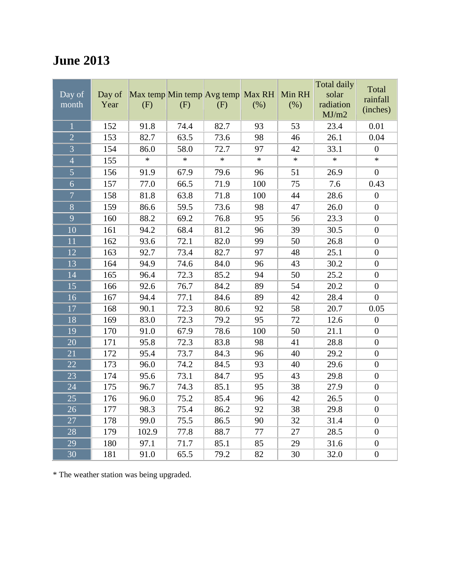#### **June 2013**

| Day of<br>month | Day of<br>Year | Max temp Min temp Avg temp<br>(F) | (F)    | (F)    | Max RH<br>(%) | Min RH<br>(% ) | <b>Total daily</b><br>solar<br>radiation<br>MJ/m2 | Total<br>rainfall<br>(inches) |
|-----------------|----------------|-----------------------------------|--------|--------|---------------|----------------|---------------------------------------------------|-------------------------------|
| 1               | 152            | 91.8                              | 74.4   | 82.7   | 93            | 53             | 23.4                                              | 0.01                          |
| $\overline{2}$  | 153            | 82.7                              | 63.5   | 73.6   | 98            | 46             | 26.1                                              | 0.04                          |
| $\overline{3}$  | 154            | 86.0                              | 58.0   | 72.7   | 97            | 42             | 33.1                                              | $\boldsymbol{0}$              |
| $\overline{4}$  | 155            | $\ast$                            | $\ast$ | $\ast$ | $\ast$        | $\ast$         | $\ast$                                            | $\ast$                        |
| $\overline{5}$  | 156            | 91.9                              | 67.9   | 79.6   | 96            | 51             | 26.9                                              | $\boldsymbol{0}$              |
| 6               | 157            | 77.0                              | 66.5   | 71.9   | 100           | 75             | 7.6                                               | 0.43                          |
| $\overline{7}$  | 158            | 81.8                              | 63.8   | 71.8   | 100           | 44             | 28.6                                              | $\boldsymbol{0}$              |
| $\overline{8}$  | 159            | 86.6                              | 59.5   | 73.6   | 98            | 47             | 26.0                                              | $\boldsymbol{0}$              |
| $\overline{9}$  | 160            | 88.2                              | 69.2   | 76.8   | 95            | 56             | 23.3                                              | $\boldsymbol{0}$              |
| 10              | 161            | 94.2                              | 68.4   | 81.2   | 96            | 39             | 30.5                                              | $\boldsymbol{0}$              |
| 11              | 162            | 93.6                              | 72.1   | 82.0   | 99            | 50             | 26.8                                              | $\boldsymbol{0}$              |
| 12              | 163            | 92.7                              | 73.4   | 82.7   | 97            | 48             | 25.1                                              | $\boldsymbol{0}$              |
| $\overline{13}$ | 164            | 94.9                              | 74.6   | 84.0   | 96            | 43             | 30.2                                              | $\boldsymbol{0}$              |
| 14              | 165            | 96.4                              | 72.3   | 85.2   | 94            | 50             | 25.2                                              | $\boldsymbol{0}$              |
| 15              | 166            | 92.6                              | 76.7   | 84.2   | 89            | 54             | 20.2                                              | $\boldsymbol{0}$              |
| 16              | 167            | 94.4                              | 77.1   | 84.6   | 89            | 42             | 28.4                                              | $\overline{0}$                |
| 17              | 168            | 90.1                              | 72.3   | 80.6   | 92            | 58             | 20.7                                              | 0.05                          |
| 18              | 169            | 83.0                              | 72.3   | 79.2   | 95            | 72             | 12.6                                              | $\boldsymbol{0}$              |
| 19              | 170            | 91.0                              | 67.9   | 78.6   | 100           | 50             | 21.1                                              | $\overline{0}$                |
| 20              | 171            | 95.8                              | 72.3   | 83.8   | 98            | 41             | 28.8                                              | $\boldsymbol{0}$              |
| $\overline{21}$ | 172            | 95.4                              | 73.7   | 84.3   | 96            | 40             | 29.2                                              | $\boldsymbol{0}$              |
| 22              | 173            | 96.0                              | 74.2   | 84.5   | 93            | 40             | 29.6                                              | $\boldsymbol{0}$              |
| 23              | 174            | 95.6                              | 73.1   | 84.7   | 95            | 43             | 29.8                                              | $\boldsymbol{0}$              |
| 24              | 175            | 96.7                              | 74.3   | 85.1   | 95            | 38             | 27.9                                              | $\boldsymbol{0}$              |
| 25              | 176            | 96.0                              | 75.2   | 85.4   | 96            | 42             | 26.5                                              | $\boldsymbol{0}$              |
| 26              | 177            | 98.3                              | 75.4   | 86.2   | 92            | 38             | 29.8                                              | $\boldsymbol{0}$              |
| 27              | 178            | 99.0                              | 75.5   | 86.5   | 90            | 32             | 31.4                                              | $\boldsymbol{0}$              |
| 28              | 179            | 102.9                             | 77.8   | 88.7   | 77            | 27             | 28.5                                              | $\boldsymbol{0}$              |
| 29              | 180            | 97.1                              | 71.7   | 85.1   | 85            | 29             | 31.6                                              | $\boldsymbol{0}$              |
| 30              | 181            | 91.0                              | 65.5   | 79.2   | 82            | 30             | 32.0                                              | $\boldsymbol{0}$              |

\* The weather station was being upgraded.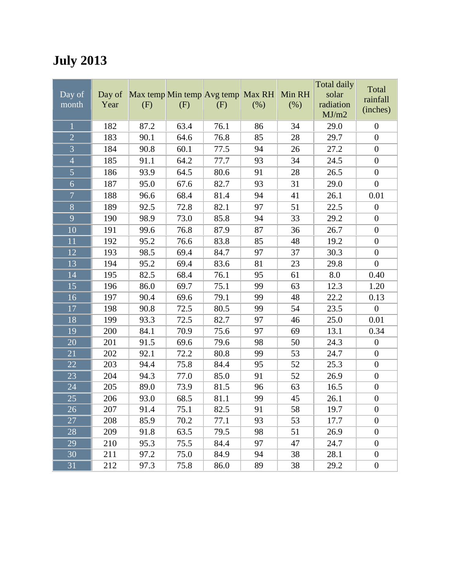## **July 2013**

| Day of<br>month | Day of<br>Year | (F)  | Max temp Min temp Avg temp Max RH<br>(F) | (F)  | (%) | Min RH<br>(% ) | <b>Total daily</b><br>solar<br>radiation<br>MJ/m2 | Total<br>rainfall<br>(inches) |
|-----------------|----------------|------|------------------------------------------|------|-----|----------------|---------------------------------------------------|-------------------------------|
| $\overline{1}$  | 182            | 87.2 | 63.4                                     | 76.1 | 86  | 34             | 29.0                                              | $\boldsymbol{0}$              |
| $\overline{2}$  | 183            | 90.1 | 64.6                                     | 76.8 | 85  | 28             | 29.7                                              | $\boldsymbol{0}$              |
| $\overline{3}$  | 184            | 90.8 | 60.1                                     | 77.5 | 94  | 26             | 27.2                                              | $\boldsymbol{0}$              |
| $\overline{4}$  | 185            | 91.1 | 64.2                                     | 77.7 | 93  | 34             | 24.5                                              | $\boldsymbol{0}$              |
| 5               | 186            | 93.9 | 64.5                                     | 80.6 | 91  | 28             | 26.5                                              | $\boldsymbol{0}$              |
| 6               | 187            | 95.0 | 67.6                                     | 82.7 | 93  | 31             | 29.0                                              | $\boldsymbol{0}$              |
| $\overline{7}$  | 188            | 96.6 | 68.4                                     | 81.4 | 94  | 41             | 26.1                                              | 0.01                          |
| $\overline{8}$  | 189            | 92.5 | 72.8                                     | 82.1 | 97  | 51             | 22.5                                              | $\overline{0}$                |
| 9               | 190            | 98.9 | 73.0                                     | 85.8 | 94  | 33             | 29.2                                              | $\boldsymbol{0}$              |
| 10              | 191            | 99.6 | 76.8                                     | 87.9 | 87  | 36             | 26.7                                              | $\boldsymbol{0}$              |
| 11              | 192            | 95.2 | 76.6                                     | 83.8 | 85  | 48             | 19.2                                              | $\boldsymbol{0}$              |
| 12              | 193            | 98.5 | 69.4                                     | 84.7 | 97  | 37             | 30.3                                              | $\boldsymbol{0}$              |
| 13              | 194            | 95.2 | 69.4                                     | 83.6 | 81  | 23             | 29.8                                              | $\boldsymbol{0}$              |
| 14              | 195            | 82.5 | 68.4                                     | 76.1 | 95  | 61             | 8.0                                               | 0.40                          |
| 15              | 196            | 86.0 | 69.7                                     | 75.1 | 99  | 63             | 12.3                                              | 1.20                          |
| 16              | 197            | 90.4 | 69.6                                     | 79.1 | 99  | 48             | 22.2                                              | 0.13                          |
| 17              | 198            | 90.8 | 72.5                                     | 80.5 | 99  | 54             | 23.5                                              | $\boldsymbol{0}$              |
| 18              | 199            | 93.3 | 72.5                                     | 82.7 | 97  | 46             | 25.0                                              | 0.01                          |
| 19              | 200            | 84.1 | 70.9                                     | 75.6 | 97  | 69             | 13.1                                              | 0.34                          |
| 20              | 201            | 91.5 | 69.6                                     | 79.6 | 98  | 50             | 24.3                                              | $\boldsymbol{0}$              |
| 21              | 202            | 92.1 | 72.2                                     | 80.8 | 99  | 53             | 24.7                                              | $\boldsymbol{0}$              |
| 22              | 203            | 94.4 | 75.8                                     | 84.4 | 95  | 52             | 25.3                                              | $\boldsymbol{0}$              |
| 23              | 204            | 94.3 | 77.0                                     | 85.0 | 91  | 52             | 26.9                                              | $\boldsymbol{0}$              |
| 24              | 205            | 89.0 | 73.9                                     | 81.5 | 96  | 63             | 16.5                                              | $\boldsymbol{0}$              |
| 25              | 206            | 93.0 | 68.5                                     | 81.1 | 99  | 45             | 26.1                                              | $\boldsymbol{0}$              |
| $\overline{26}$ | 207            | 91.4 | 75.1                                     | 82.5 | 91  | 58             | 19.7                                              | $\theta$                      |
| 27              | 208            | 85.9 | 70.2                                     | 77.1 | 93  | 53             | 17.7                                              | $\boldsymbol{0}$              |
| 28              | 209            | 91.8 | 63.5                                     | 79.5 | 98  | 51             | 26.9                                              | $\boldsymbol{0}$              |
| 29              | 210            | 95.3 | 75.5                                     | 84.4 | 97  | 47             | 24.7                                              | $\boldsymbol{0}$              |
| 30              | 211            | 97.2 | 75.0                                     | 84.9 | 94  | 38             | 28.1                                              | $\boldsymbol{0}$              |
| 31              | 212            | 97.3 | 75.8                                     | 86.0 | 89  | 38             | 29.2                                              | $\boldsymbol{0}$              |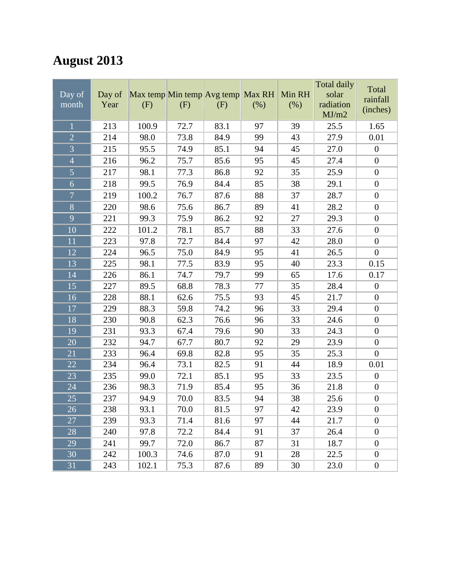# **August 2013**

|                 |        |                                   |      |      |        |        | Total daily | Total            |
|-----------------|--------|-----------------------------------|------|------|--------|--------|-------------|------------------|
| Day of          | Day of | Max temp Min temp Avg temp Max RH |      |      |        | Min RH | solar       | rainfall         |
| month           | Year   | (F)                               | (F)  | (F)  | $(\%)$ | (% )   | radiation   | (inches)         |
|                 |        |                                   |      |      |        |        | MJ/m2       |                  |
| $\mathbf{1}$    | 213    | 100.9                             | 72.7 | 83.1 | 97     | 39     | 25.5        | 1.65             |
| $\overline{2}$  | 214    | 98.0                              | 73.8 | 84.9 | 99     | 43     | 27.9        | 0.01             |
| $\overline{3}$  | 215    | 95.5                              | 74.9 | 85.1 | 94     | 45     | 27.0        | $\boldsymbol{0}$ |
| $\overline{4}$  | 216    | 96.2                              | 75.7 | 85.6 | 95     | 45     | 27.4        | $\boldsymbol{0}$ |
| $\overline{5}$  | 217    | 98.1                              | 77.3 | 86.8 | 92     | 35     | 25.9        | $\boldsymbol{0}$ |
| $\overline{6}$  | 218    | 99.5                              | 76.9 | 84.4 | 85     | 38     | 29.1        | $\boldsymbol{0}$ |
| $\overline{7}$  | 219    | 100.2                             | 76.7 | 87.6 | 88     | 37     | 28.7        | $\boldsymbol{0}$ |
| $\overline{8}$  | 220    | 98.6                              | 75.6 | 86.7 | 89     | 41     | 28.2        | $\boldsymbol{0}$ |
| 9               | 221    | 99.3                              | 75.9 | 86.2 | 92     | 27     | 29.3        | $\boldsymbol{0}$ |
| 10              | 222    | 101.2                             | 78.1 | 85.7 | 88     | 33     | 27.6        | $\boldsymbol{0}$ |
| 11              | 223    | 97.8                              | 72.7 | 84.4 | 97     | 42     | 28.0        | $\boldsymbol{0}$ |
| 12              | 224    | 96.5                              | 75.0 | 84.9 | 95     | 41     | 26.5        | $\boldsymbol{0}$ |
| 13              | 225    | 98.1                              | 77.5 | 83.9 | 95     | 40     | 23.3        | 0.15             |
| 14              | 226    | 86.1                              | 74.7 | 79.7 | 99     | 65     | 17.6        | 0.17             |
| 15              | 227    | 89.5                              | 68.8 | 78.3 | 77     | 35     | 28.4        | $\boldsymbol{0}$ |
| 16              | 228    | 88.1                              | 62.6 | 75.5 | 93     | 45     | 21.7        | $\boldsymbol{0}$ |
| 17              | 229    | 88.3                              | 59.8 | 74.2 | 96     | 33     | 29.4        | $\boldsymbol{0}$ |
| 18              | 230    | 90.8                              | 62.3 | 76.6 | 96     | 33     | 24.6        | $\boldsymbol{0}$ |
| 19              | 231    | 93.3                              | 67.4 | 79.6 | 90     | 33     | 24.3        | $\boldsymbol{0}$ |
| 20              | 232    | 94.7                              | 67.7 | 80.7 | 92     | 29     | 23.9        | $\boldsymbol{0}$ |
| 21              | 233    | 96.4                              | 69.8 | 82.8 | 95     | 35     | 25.3        | $\boldsymbol{0}$ |
| 22              | 234    | 96.4                              | 73.1 | 82.5 | 91     | 44     | 18.9        | 0.01             |
| 23              | 235    | 99.0                              | 72.1 | 85.1 | 95     | 33     | 23.5        | $\boldsymbol{0}$ |
| 24              | 236    | 98.3                              | 71.9 | 85.4 | 95     | 36     | 21.8        | $\boldsymbol{0}$ |
| 25              | 237    | 94.9                              | 70.0 | 83.5 | 94     | 38     | 25.6        | $\boldsymbol{0}$ |
| $\overline{26}$ | 238    | 93.1                              | 70.0 | 81.5 | 97     | 42     | 23.9        | $\boldsymbol{0}$ |
| 27              | 239    | 93.3                              | 71.4 | 81.6 | 97     | 44     | 21.7        | $\boldsymbol{0}$ |
| 28              | 240    | 97.8                              | 72.2 | 84.4 | 91     | 37     | 26.4        | $\boldsymbol{0}$ |
| 29              | 241    | 99.7                              | 72.0 | 86.7 | 87     | 31     | 18.7        | $\boldsymbol{0}$ |
| 30              | 242    | 100.3                             | 74.6 | 87.0 | 91     | 28     | 22.5        | $\boldsymbol{0}$ |
| 31              | 243    | 102.1                             | 75.3 | 87.6 | 89     | 30     | 23.0        | $\boldsymbol{0}$ |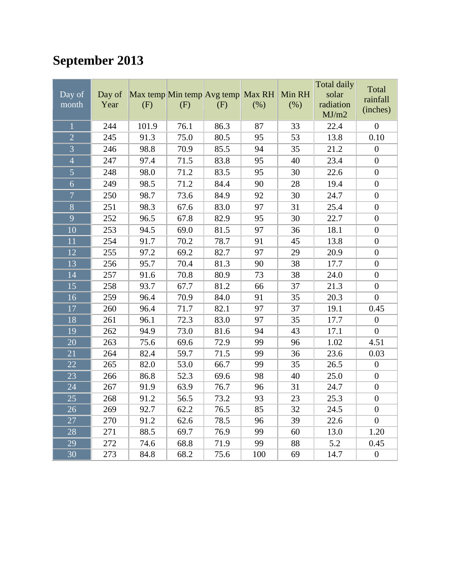## **September 2013**

| Day of<br>month | Day of<br>Year | Max temp Min temp Avg temp Max RH<br>(F) | (F)  | (F)  | (%) | Min RH<br>(%) | <b>Total daily</b><br>solar<br>radiation<br>MJ/m2 | Total<br>rainfall<br>(inches) |
|-----------------|----------------|------------------------------------------|------|------|-----|---------------|---------------------------------------------------|-------------------------------|
| $\overline{1}$  | 244            | 101.9                                    | 76.1 | 86.3 | 87  | 33            | 22.4                                              | $\boldsymbol{0}$              |
| $\overline{2}$  | 245            | 91.3                                     | 75.0 | 80.5 | 95  | 53            | 13.8                                              | 0.10                          |
| $\overline{3}$  | 246            | 98.8                                     | 70.9 | 85.5 | 94  | 35            | 21.2                                              | $\boldsymbol{0}$              |
| $\overline{4}$  | 247            | 97.4                                     | 71.5 | 83.8 | 95  | 40            | 23.4                                              | $\boldsymbol{0}$              |
| $\overline{5}$  | 248            | 98.0                                     | 71.2 | 83.5 | 95  | 30            | 22.6                                              | $\boldsymbol{0}$              |
| 6               | 249            | 98.5                                     | 71.2 | 84.4 | 90  | 28            | 19.4                                              | $\boldsymbol{0}$              |
| $\overline{7}$  | 250            | 98.7                                     | 73.6 | 84.9 | 92  | 30            | 24.7                                              | $\overline{0}$                |
| $\overline{8}$  | 251            | 98.3                                     | 67.6 | 83.0 | 97  | 31            | 25.4                                              | $\boldsymbol{0}$              |
| $\overline{9}$  | 252            | 96.5                                     | 67.8 | 82.9 | 95  | 30            | 22.7                                              | $\boldsymbol{0}$              |
| 10              | 253            | 94.5                                     | 69.0 | 81.5 | 97  | 36            | 18.1                                              | $\boldsymbol{0}$              |
| $\overline{11}$ | 254            | 91.7                                     | 70.2 | 78.7 | 91  | 45            | 13.8                                              | $\boldsymbol{0}$              |
| 12              | 255            | 97.2                                     | 69.2 | 82.7 | 97  | 29            | 20.9                                              | $\boldsymbol{0}$              |
| 13              | 256            | 95.7                                     | 70.4 | 81.3 | 90  | 38            | 17.7                                              | $\boldsymbol{0}$              |
| 14              | 257            | 91.6                                     | 70.8 | 80.9 | 73  | 38            | 24.0                                              | $\boldsymbol{0}$              |
| 15              | 258            | 93.7                                     | 67.7 | 81.2 | 66  | 37            | 21.3                                              | $\boldsymbol{0}$              |
| $\overline{16}$ | 259            | 96.4                                     | 70.9 | 84.0 | 91  | 35            | 20.3                                              | $\overline{0}$                |
| 17              | 260            | 96.4                                     | 71.7 | 82.1 | 97  | 37            | 19.1                                              | 0.45                          |
| 18              | 261            | 96.1                                     | 72.3 | 83.0 | 97  | 35            | 17.7                                              | $\boldsymbol{0}$              |
| 19              | 262            | 94.9                                     | 73.0 | 81.6 | 94  | 43            | 17.1                                              | $\overline{0}$                |
| 20              | 263            | 75.6                                     | 69.6 | 72.9 | 99  | 96            | 1.02                                              | 4.51                          |
| 21              | 264            | 82.4                                     | 59.7 | 71.5 | 99  | 36            | 23.6                                              | 0.03                          |
| $\overline{22}$ | 265            | 82.0                                     | 53.0 | 66.7 | 99  | 35            | 26.5                                              | $\boldsymbol{0}$              |
| 23              | 266            | 86.8                                     | 52.3 | 69.6 | 98  | 40            | 25.0                                              | $\boldsymbol{0}$              |
| 24              | 267            | 91.9                                     | 63.9 | 76.7 | 96  | 31            | 24.7                                              | $\boldsymbol{0}$              |
| 25              | 268            | 91.2                                     | 56.5 | 73.2 | 93  | 23            | 25.3                                              | $\boldsymbol{0}$              |
| 26              | 269            | 92.7                                     | 62.2 | 76.5 | 85  | 32            | 24.5                                              | $\boldsymbol{0}$              |
| 27              | 270            | 91.2                                     | 62.6 | 78.5 | 96  | 39            | 22.6                                              | $\boldsymbol{0}$              |
| 28              | 271            | 88.5                                     | 69.7 | 76.9 | 99  | 60            | 13.0                                              | 1.20                          |
| 29              | 272            | 74.6                                     | 68.8 | 71.9 | 99  | 88            | 5.2                                               | 0.45                          |
| 30              | 273            | 84.8                                     | 68.2 | 75.6 | 100 | 69            | 14.7                                              | $\boldsymbol{0}$              |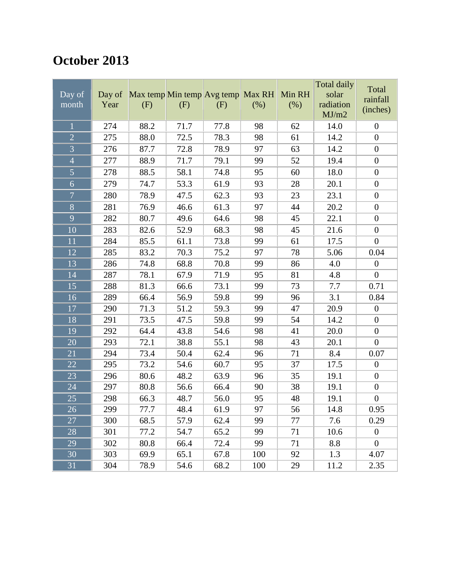#### **October 2013**

| Day of<br>month | Day of<br>Year | (F)  | (F)  | Max temp Min temp Avg temp Max RH<br>(F) | (% )            | Min RH<br>(% ) | Total daily<br>solar<br>radiation<br>MJ/m2 | Total<br>rainfall<br>(inches) |
|-----------------|----------------|------|------|------------------------------------------|-----------------|----------------|--------------------------------------------|-------------------------------|
| $\mathbf{1}$    | 274            | 88.2 | 71.7 | 77.8                                     | 98              | 62             | 14.0                                       | $\boldsymbol{0}$              |
| $\overline{2}$  | 275            | 88.0 | 72.5 | 78.3                                     | 98              | 61             | 14.2                                       | $\boldsymbol{0}$              |
| $\overline{3}$  | 276            | 87.7 | 72.8 | 78.9                                     | 97              | 63             | 14.2                                       | $\boldsymbol{0}$              |
| $\overline{4}$  | 277            | 88.9 | 71.7 | 79.1                                     | 99              | 52             | 19.4                                       | $\boldsymbol{0}$              |
| 5               | 278            | 88.5 | 58.1 | 74.8                                     | 95              | 60             | 18.0                                       | $\boldsymbol{0}$              |
| 6               | 279            | 74.7 | 53.3 | 61.9                                     | 93              | 28             | 20.1                                       | $\boldsymbol{0}$              |
| $\overline{7}$  | 280            | 78.9 | 47.5 | 62.3                                     | 93              | 23             | 23.1                                       | $\boldsymbol{0}$              |
| $\overline{8}$  | 281            | 76.9 | 46.6 | 61.3                                     | 97              | 44             | 20.2                                       | $\boldsymbol{0}$              |
| 9               | 282            | 80.7 | 49.6 | 64.6                                     | 98              | 45             | 22.1                                       | $\boldsymbol{0}$              |
| 10              | 283            | 82.6 | 52.9 | 68.3                                     | 98              | 45             | 21.6                                       | $\boldsymbol{0}$              |
| 11              | 284            | 85.5 | 61.1 | 73.8                                     | 99              | 61             | 17.5                                       | $\boldsymbol{0}$              |
| 12              | 285            | 83.2 | 70.3 | 75.2                                     | 97              | 78             | 5.06                                       | 0.04                          |
| 13              | 286            | 74.8 | 68.8 | 70.8                                     | 99              | 86             | 4.0                                        | $\boldsymbol{0}$              |
| 14              | 287            | 78.1 | 67.9 | 71.9                                     | 95              | 81             | 4.8                                        | $\overline{0}$                |
| 15              | 288            | 81.3 | 66.6 | 73.1                                     | 99              | 73             | 7.7                                        | 0.71                          |
| 16              | 289            | 66.4 | 56.9 | 59.8                                     | 99              | 96             | 3.1                                        | 0.84                          |
| 17              | 290            | 71.3 | 51.2 | 59.3                                     | 99              | 47             | 20.9                                       | $\boldsymbol{0}$              |
| 18              | 291            | 73.5 | 47.5 | 59.8                                     | 99              | 54             | 14.2                                       | $\boldsymbol{0}$              |
| 19              | 292            | 64.4 | 43.8 | 54.6                                     | 98              | 41             | 20.0                                       | $\boldsymbol{0}$              |
| 20              | 293            | 72.1 | 38.8 | 55.1                                     | 98              | 43             | 20.1                                       | $\boldsymbol{0}$              |
| 21              | 294            | 73.4 | 50.4 | 62.4                                     | 96              | 71             | 8.4                                        | 0.07                          |
| 22              | 295            | 73.2 | 54.6 | 60.7                                     | 95              | 37             | 17.5                                       | $\boldsymbol{0}$              |
| 23              | 296            | 80.6 | 48.2 | 63.9                                     | 96              | 35             | 19.1                                       | $\boldsymbol{0}$              |
| 24              | 297            | 80.8 | 56.6 | 66.4                                     | 90              | 38             | 19.1                                       | $\boldsymbol{0}$              |
| 25              | 298            | 66.3 | 48.7 | 56.0                                     | 95              | 48             | 19.1                                       | $\boldsymbol{0}$              |
| $\overline{26}$ | 299            | 77.7 | 48.4 | 61.9                                     | $\overline{97}$ | 56             | 14.8                                       | 0.95                          |
| 27              | 300            | 68.5 | 57.9 | 62.4                                     | 99              | 77             | 7.6                                        | 0.29                          |
| 28              | 301            | 77.2 | 54.7 | 65.2                                     | 99              | 71             | 10.6                                       | $\overline{0}$                |
| 29              | 302            | 80.8 | 66.4 | 72.4                                     | 99              | 71             | 8.8                                        | $\overline{0}$                |
| 30              | 303            | 69.9 | 65.1 | 67.8                                     | 100             | 92             | 1.3                                        | 4.07                          |
| 31              | 304            | 78.9 | 54.6 | 68.2                                     | 100             | 29             | 11.2                                       | 2.35                          |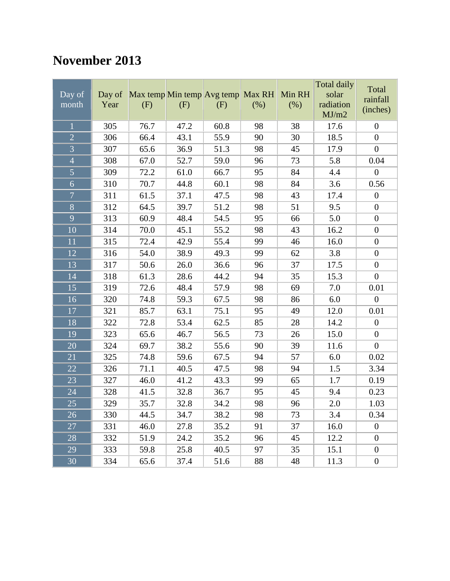## **November 2013**

| Day of<br>month | Day of<br>Year | Max temp Min temp Avg temp Max RH<br>(F) | (F)  | (F)  | (%) | Min RH<br>(% ) | Total daily<br>solar<br>radiation<br>MJ/m2 | Total<br>rainfall<br>(inches) |
|-----------------|----------------|------------------------------------------|------|------|-----|----------------|--------------------------------------------|-------------------------------|
| $\mathbf{1}$    | 305            | 76.7                                     | 47.2 | 60.8 | 98  | 38             | 17.6                                       | $\boldsymbol{0}$              |
| $\overline{2}$  | 306            | 66.4                                     | 43.1 | 55.9 | 90  | 30             | 18.5                                       | $\boldsymbol{0}$              |
| $\overline{3}$  | 307            | 65.6                                     | 36.9 | 51.3 | 98  | 45             | 17.9                                       | $\boldsymbol{0}$              |
| $\overline{4}$  | 308            | 67.0                                     | 52.7 | 59.0 | 96  | 73             | 5.8                                        | 0.04                          |
| $\overline{5}$  | 309            | 72.2                                     | 61.0 | 66.7 | 95  | 84             | 4.4                                        | $\boldsymbol{0}$              |
| $\overline{6}$  | 310            | 70.7                                     | 44.8 | 60.1 | 98  | 84             | 3.6                                        | 0.56                          |
| $\overline{7}$  | 311            | 61.5                                     | 37.1 | 47.5 | 98  | 43             | 17.4                                       | $\boldsymbol{0}$              |
| $\overline{8}$  | 312            | 64.5                                     | 39.7 | 51.2 | 98  | 51             | 9.5                                        | $\boldsymbol{0}$              |
| 9               | 313            | 60.9                                     | 48.4 | 54.5 | 95  | 66             | 5.0                                        | $\boldsymbol{0}$              |
| 10              | 314            | 70.0                                     | 45.1 | 55.2 | 98  | 43             | 16.2                                       | $\boldsymbol{0}$              |
| 11              | 315            | 72.4                                     | 42.9 | 55.4 | 99  | 46             | 16.0                                       | $\boldsymbol{0}$              |
| 12              | 316            | 54.0                                     | 38.9 | 49.3 | 99  | 62             | 3.8                                        | $\boldsymbol{0}$              |
| 13              | 317            | 50.6                                     | 26.0 | 36.6 | 96  | 37             | 17.5                                       | $\boldsymbol{0}$              |
| 14              | 318            | 61.3                                     | 28.6 | 44.2 | 94  | 35             | 15.3                                       | $\boldsymbol{0}$              |
| 15              | 319            | 72.6                                     | 48.4 | 57.9 | 98  | 69             | 7.0                                        | 0.01                          |
| 16              | 320            | 74.8                                     | 59.3 | 67.5 | 98  | 86             | 6.0                                        | $\boldsymbol{0}$              |
| 17              | 321            | 85.7                                     | 63.1 | 75.1 | 95  | 49             | 12.0                                       | 0.01                          |
| 18              | 322            | 72.8                                     | 53.4 | 62.5 | 85  | 28             | 14.2                                       | $\boldsymbol{0}$              |
| 19              | 323            | 65.6                                     | 46.7 | 56.5 | 73  | 26             | 15.0                                       | $\boldsymbol{0}$              |
| 20              | 324            | 69.7                                     | 38.2 | 55.6 | 90  | 39             | 11.6                                       | $\boldsymbol{0}$              |
| 21              | 325            | 74.8                                     | 59.6 | 67.5 | 94  | 57             | 6.0                                        | 0.02                          |
| 22              | 326            | 71.1                                     | 40.5 | 47.5 | 98  | 94             | 1.5                                        | 3.34                          |
| 23              | 327            | 46.0                                     | 41.2 | 43.3 | 99  | 65             | 1.7                                        | 0.19                          |
| 24              | 328            | 41.5                                     | 32.8 | 36.7 | 95  | 45             | 9.4                                        | 0.23                          |
| 25              | 329            | 35.7                                     | 32.8 | 34.2 | 98  | 96             | $2.0\,$                                    | 1.03                          |
| 26              | 330            | 44.5                                     | 34.7 | 38.2 | 98  | 73             | 3.4                                        | 0.34                          |
| 27              | 331            | 46.0                                     | 27.8 | 35.2 | 91  | 37             | 16.0                                       | $\boldsymbol{0}$              |
| 28              | 332            | 51.9                                     | 24.2 | 35.2 | 96  | 45             | 12.2                                       | $\boldsymbol{0}$              |
| 29              | 333            | 59.8                                     | 25.8 | 40.5 | 97  | 35             | 15.1                                       | $\boldsymbol{0}$              |
| $\overline{30}$ | 334            | 65.6                                     | 37.4 | 51.6 | 88  | 48             | 11.3                                       | $\boldsymbol{0}$              |